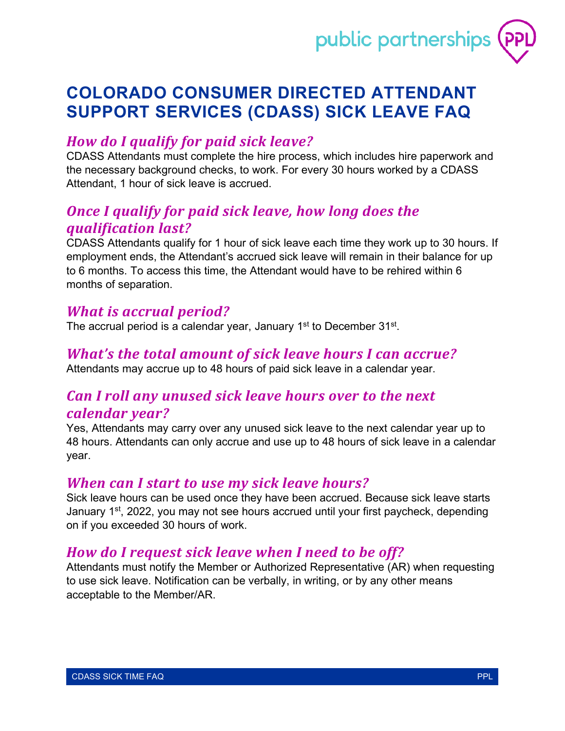

# **COLORADO CONSUMER DIRECTED ATTENDANT SUPPORT SERVICES (CDASS) SICK LEAVE FAQ**

#### *How do I qualify for paid sick leave?*

CDASS Attendants must complete the hire process, which includes hire paperwork and the necessary background checks, to work. For every 30 hours worked by a CDASS Attendant, 1 hour of sick leave is accrued.

#### *Once I qualify for paid sick leave, how long does the qualification last?*

CDASS Attendants qualify for 1 hour of sick leave each time they work up to 30 hours. If employment ends, the Attendant's accrued sick leave will remain in their balance for up to 6 months. To access this time, the Attendant would have to be rehired within 6 months of separation.

#### *What is accrual period?*

The accrual period is a calendar year, January 1<sup>st</sup> to December 31<sup>st</sup>.

#### *What's the total amount of sick leave hours I can accrue?*

Attendants may accrue up to 48 hours of paid sick leave in a calendar year.

#### *Can I roll any unused sick leave hours over to the next calendar year?*

Yes, Attendants may carry over any unused sick leave to the next calendar year up to 48 hours. Attendants can only accrue and use up to 48 hours of sick leave in a calendar year.

#### *When can I start to use my sick leave hours?*

Sick leave hours can be used once they have been accrued. Because sick leave starts January 1<sup>st</sup>, 2022, you may not see hours accrued until your first paycheck, depending on if you exceeded 30 hours of work.

#### *How do I request sick leave when I need to be off?*

Attendants must notify the Member or Authorized Representative (AR) when requesting to use sick leave. Notification can be verbally, in writing, or by any other means acceptable to the Member/AR.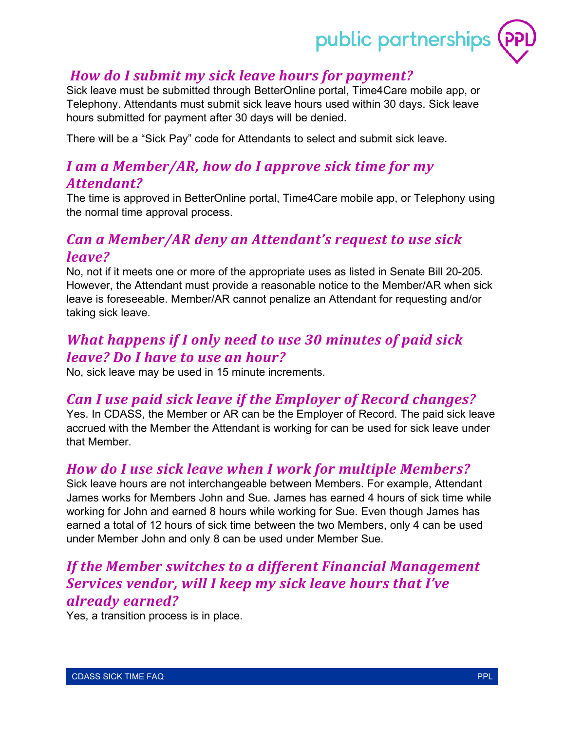# public partnerships

#### *How do I submit my sick leave hours for payment?*

Sick leave must be submitted through BetterOnline portal, Time4Care mobile app, or Telephony. Attendants must submit sick leave hours used within 30 days. Sick leave hours submitted for payment after 30 days will be denied.

There will be a "Sick Pay" code for Attendants to select and submit sick leave.

# *I am a Member/AR, how do I approve sick time for my Attendant?*

The time is approved in BetterOnline portal, Time4Care mobile app, or Telephony using the normal time approval process.

#### *Can a Member/AR deny an Attendant's request to use sick leave?*

No, not if it meets one or more of the appropriate uses as listed in Senate Bill 20-205. However, the Attendant must provide a reasonable notice to the Member/AR when sick leave is foreseeable. Member/AR cannot penalize an Attendant for requesting and/or taking sick leave.

## *What happens if I only need to use 30 minutes of paid sick leave? Do I have to use an hour?*

No, sick leave may be used in 15 minute increments.

#### *Can I use paid sick leave if the Employer of Record changes?*

Yes. In CDASS, the Member or AR can be the Employer of Record. The paid sick leave accrued with the Member the Attendant is working for can be used for sick leave under that Member.

#### *How do I use sick leave when I work for multiple Members?*

Sick leave hours are not interchangeable between Members. For example, Attendant James works for Members John and Sue. James has earned 4 hours of sick time while working for John and earned 8 hours while working for Sue. Even though James has earned a total of 12 hours of sick time between the two Members, only 4 can be used under Member John and only 8 can be used under Member Sue.

# *If the Member switches to a different Financial Management Services vendor, will I keep my sick leave hours that I've already earned?*

Yes, a transition process is in place.